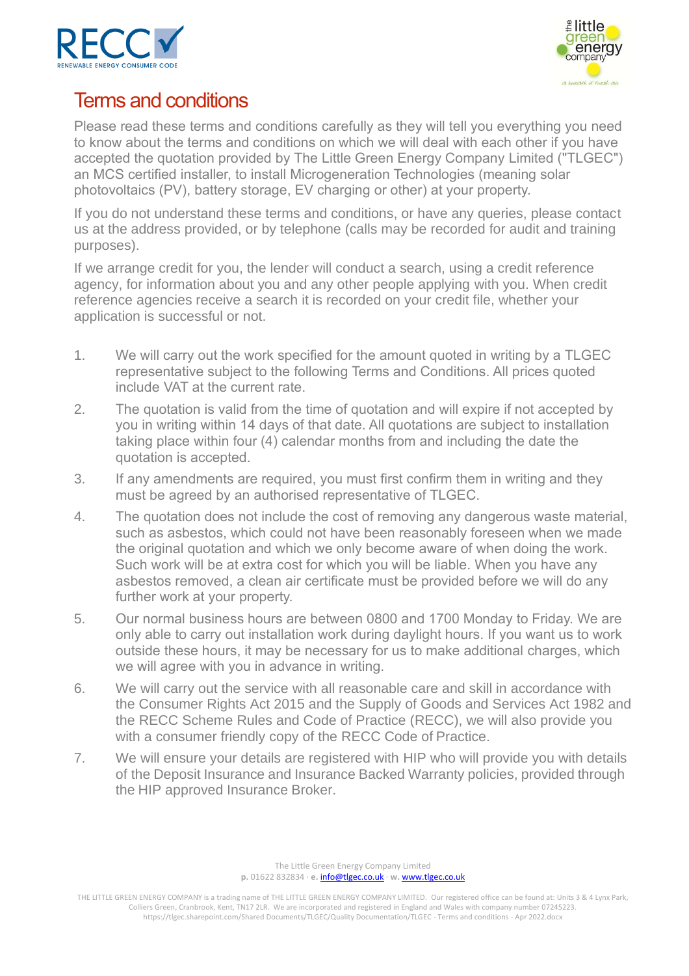



# Terms and conditions

Please read these terms and conditions carefully as they will tell you everything you need to know about the terms and conditions on which we will deal with each other if you have accepted the quotation provided by The Little Green Energy Company Limited ("TLGEC") an MCS certified installer, to install Microgeneration Technologies (meaning solar photovoltaics (PV), battery storage, EV charging or other) at your property.

If you do not understand these terms and conditions, or have any queries, please contact us at the address provided, or by telephone (calls may be recorded for audit and training purposes).

If we arrange credit for you, the lender will conduct a search, using a credit reference agency, for information about you and any other people applying with you. When credit reference agencies receive a search it is recorded on your credit file, whether your application is successful or not.

- 1. We will carry out the work specified for the amount quoted in writing by a TLGEC representative subject to the following Terms and Conditions. All prices quoted include VAT at the current rate.
- 2. The quotation is valid from the time of quotation and will expire if not accepted by you in writing within 14 days of that date. All quotations are subject to installation taking place within four (4) calendar months from and including the date the quotation is accepted.
- 3. If any amendments are required, you must first confirm them in writing and they must be agreed by an authorised representative of TLGEC.
- 4. The quotation does not include the cost of removing any dangerous waste material, such as asbestos, which could not have been reasonably foreseen when we made the original quotation and which we only become aware of when doing the work. Such work will be at extra cost for which you will be liable. When you have any asbestos removed, a clean air certificate must be provided before we will do any further work at your property.
- 5. Our normal business hours are between 0800 and 1700 Monday to Friday. We are only able to carry out installation work during daylight hours. If you want us to work outside these hours, it may be necessary for us to make additional charges, which we will agree with you in advance in writing.
- 6. We will carry out the service with all reasonable care and skill in accordance with the Consumer Rights Act 2015 and the Supply of Goods and Services Act 1982 and the RECC Scheme Rules and Code of Practice (RECC), we will also provide you with a consumer friendly copy of the RECC Code of Practice.
- 7. We will ensure your details are registered with HIP who will provide you with details of the Deposit Insurance and Insurance Backed Warranty policies, provided through the HIP approved Insurance Broker.

The Little Green Energy Company Limited **p.** 01622 832834 · **e.** [info@tlgec.co.uk](mailto:info@tlgec.co.uk) · **w.** [www.tlgec.co.uk](http://www.tlgec.co.uk/)

THE LITTLE GREEN ENERGY COMPANY is a trading name of THE LITTLE GREEN ENERGY COMPANY LIMITED. Our registered office can be found at: Units 3 & 4 Lynx Park, Colliers Green, Cranbrook, Kent, TN17 2LR. We are incorporated and registered in England and Wales with company number 07245223. https://tlgec.sharepoint.com/Shared Documents/TLGEC/Quality Documentation/TLGEC - Terms and conditions - Apr 2022.docx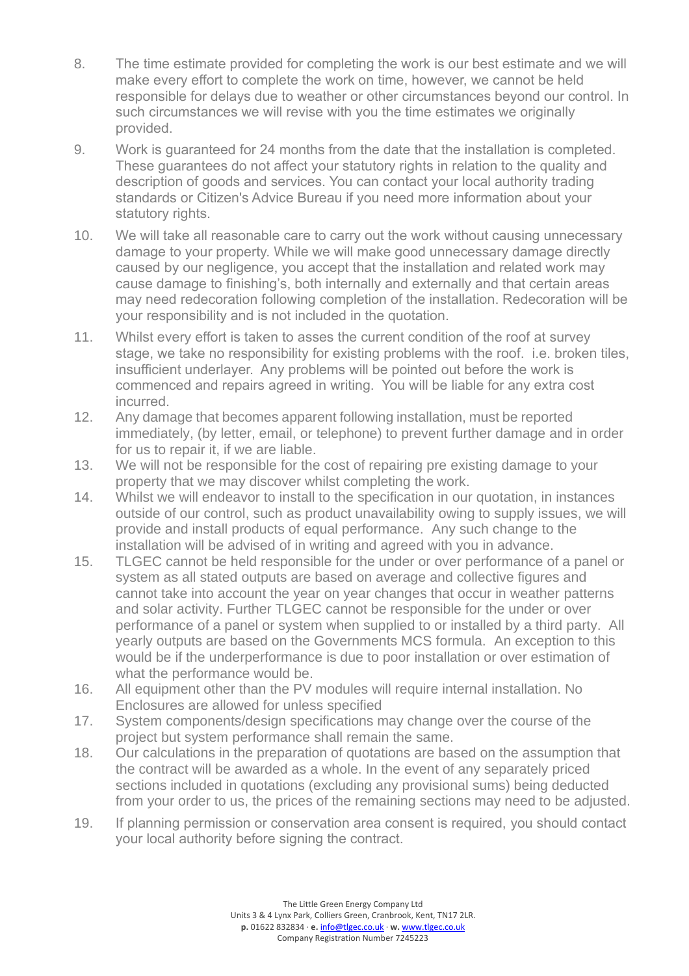- 8. The time estimate provided for completing the work is our best estimate and we will make every effort to complete the work on time, however, we cannot be held responsible for delays due to weather or other circumstances beyond our control. In such circumstances we will revise with you the time estimates we originally provided.
- 9. Work is guaranteed for 24 months from the date that the installation is completed. These guarantees do not affect your statutory rights in relation to the quality and description of goods and services. You can contact your local authority trading standards or Citizen's Advice Bureau if you need more information about your statutory rights.
- 10. We will take all reasonable care to carry out the work without causing unnecessary damage to your property. While we will make good unnecessary damage directly caused by our negligence, you accept that the installation and related work may cause damage to finishing's, both internally and externally and that certain areas may need redecoration following completion of the installation. Redecoration will be your responsibility and is not included in the quotation.
- 11. Whilst every effort is taken to asses the current condition of the roof at survey stage, we take no responsibility for existing problems with the roof. i.e. broken tiles, insufficient underlayer. Any problems will be pointed out before the work is commenced and repairs agreed in writing. You will be liable for any extra cost incurred.
- 12. Any damage that becomes apparent following installation, must be reported immediately, (by letter, email, or telephone) to prevent further damage and in order for us to repair it, if we are liable.
- 13. We will not be responsible for the cost of repairing pre existing damage to your property that we may discover whilst completing the work.
- 14. Whilst we will endeavor to install to the specification in our quotation, in instances outside of our control, such as product unavailability owing to supply issues, we will provide and install products of equal performance. Any such change to the installation will be advised of in writing and agreed with you in advance.
- 15. TLGEC cannot be held responsible for the under or over performance of a panel or system as all stated outputs are based on average and collective figures and cannot take into account the year on year changes that occur in weather patterns and solar activity. Further TLGEC cannot be responsible for the under or over performance of a panel or system when supplied to or installed by a third party. All yearly outputs are based on the Governments MCS formula. An exception to this would be if the underperformance is due to poor installation or over estimation of what the performance would be.
- 16. All equipment other than the PV modules will require internal installation. No Enclosures are allowed for unless specified
- 17. System components/design specifications may change over the course of the project but system performance shall remain the same.
- 18. Our calculations in the preparation of quotations are based on the assumption that the contract will be awarded as a whole. In the event of any separately priced sections included in quotations (excluding any provisional sums) being deducted from your order to us, the prices of the remaining sections may need to be adjusted.
- 19. If planning permission or conservation area consent is required, you should contact your local authority before signing the contract.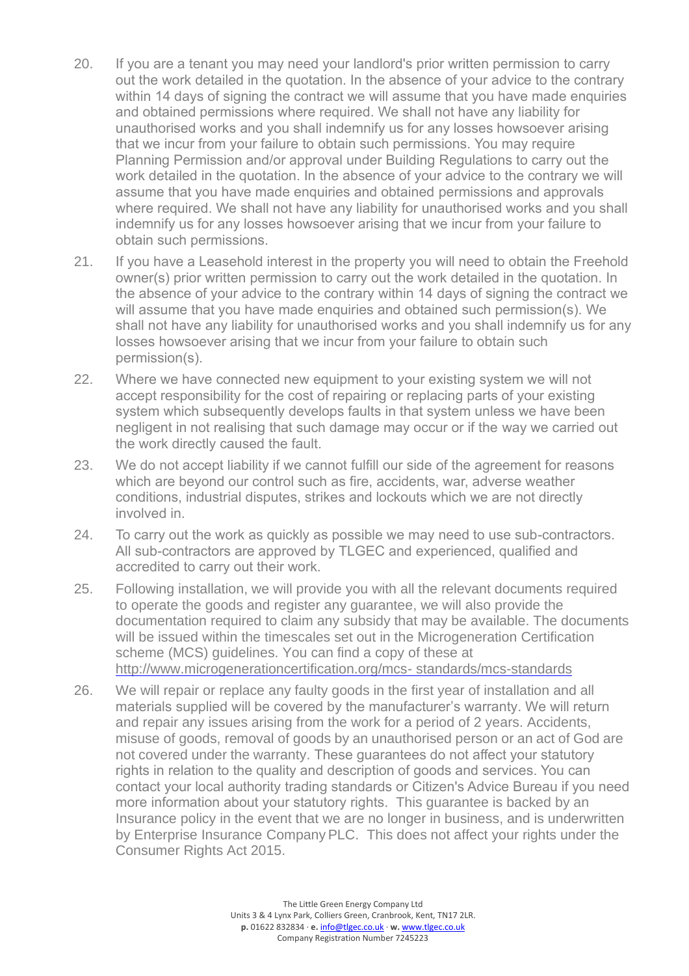- 20. If you are a tenant you may need your landlord's prior written permission to carry out the work detailed in the quotation. In the absence of your advice to the contrary within 14 days of signing the contract we will assume that you have made enquiries and obtained permissions where required. We shall not have any liability for unauthorised works and you shall indemnify us for any losses howsoever arising that we incur from your failure to obtain such permissions. You may require Planning Permission and/or approval under Building Regulations to carry out the work detailed in the quotation. In the absence of your advice to the contrary we will assume that you have made enquiries and obtained permissions and approvals where required. We shall not have any liability for unauthorised works and you shall indemnify us for any losses howsoever arising that we incur from your failure to obtain such permissions.
- 21. If you have a Leasehold interest in the property you will need to obtain the Freehold owner(s) prior written permission to carry out the work detailed in the quotation. In the absence of your advice to the contrary within 14 days of signing the contract we will assume that you have made enquiries and obtained such permission(s). We shall not have any liability for unauthorised works and you shall indemnify us for any losses howsoever arising that we incur from your failure to obtain such permission(s).
- 22. Where we have connected new equipment to your existing system we will not accept responsibility for the cost of repairing or replacing parts of your existing system which subsequently develops faults in that system unless we have been negligent in not realising that such damage may occur or if the way we carried out the work directly caused the fault.
- 23. We do not accept liability if we cannot fulfill our side of the agreement for reasons which are beyond our control such as fire, accidents, war, adverse weather conditions, industrial disputes, strikes and lockouts which we are not directly involved in.
- 24. To carry out the work as quickly as possible we may need to use sub-contractors. All sub-contractors are approved by TLGEC and experienced, qualified and accredited to carry out their work.
- 25. Following installation, we will provide you with all the relevant documents required to operate the goods and register any guarantee, we will also provide the documentation required to claim any subsidy that may be available. The documents will be issued within the timescales set out in the Microgeneration Certification scheme (MCS) guidelines. You can find a copy of these at [http://www.microgenerationcertification.org/mcs-](http://www.microgenerationcertification.org/mcs-standards/mcs-standards) [standards/mcs-standards](http://www.microgenerationcertification.org/mcs-standards/mcs-standards)
- 26. We will repair or replace any faulty goods in the first year of installation and all materials supplied will be covered by the manufacturer's warranty. We will return and repair any issues arising from the work for a period of 2 years. Accidents, misuse of goods, removal of goods by an unauthorised person or an act of God are not covered under the warranty. These guarantees do not affect your statutory rights in relation to the quality and description of goods and services. You can contact your local authority trading standards or Citizen's Advice Bureau if you need more information about your statutory rights. This guarantee is backed by an Insurance policy in the event that we are no longer in business, and is underwritten by Enterprise Insurance CompanyPLC. This does not affect your rights under the Consumer Rights Act 2015.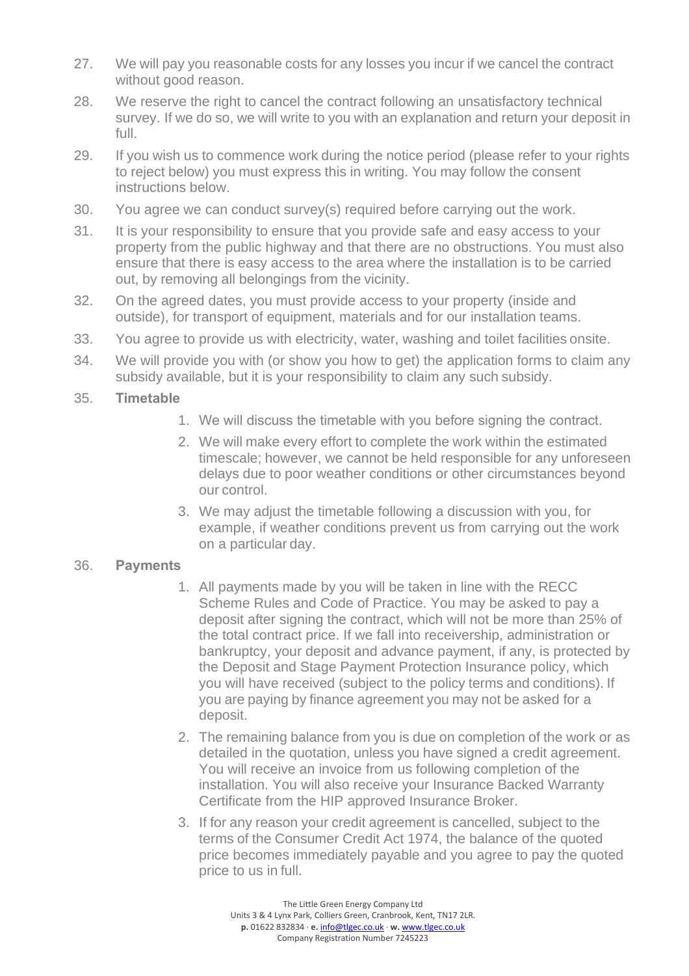- 27. We will pay you reasonable costs for any losses you incur if we cancel the contract without good reason.
- 28. We reserve the right to cancel the contract following an unsatisfactory technical survey. If we do so, we will write to you with an explanation and return your deposit in full.
- 29. If you wish us to commence work during the notice period (please refer to your rights to reject below) you must express this in writing. You may follow the consent instructions below.
- 30. You agree we can conduct survey(s) required before carrying out the work.
- 31. It is your responsibility to ensure that you provide safe and easy access to your property from the public highway and that there are no obstructions. You must also ensure that there is easy access to the area where the installation is to be carried out, by removing all belongings from the vicinity.
- 32. On the agreed dates, you must provide access to your property (inside and outside), for transport of equipment, materials and for our installation teams.
- 33. You agree to provide us with electricity, water, washing and toilet facilities onsite.
- 34. We will provide you with (or show you how to get) the application forms to claim any subsidy available, but it is your responsibility to claim any such subsidy.

#### 35. **Timetable**

- 1. We will discuss the timetable with you before signing the contract.
- 2. We will make every effort to complete the work within the estimated timescale; however, we cannot be held responsible for any unforeseen delays due to poor weather conditions or other circumstances beyond our control.
- 3. We may adjust the timetable following a discussion with you, for example, if weather conditions prevent us from carrying out the work on a particular day.

#### 36. **Payments**

- 1. All payments made by you will be taken in line with the RECC Scheme Rules and Code of Practice. You may be asked to pay a deposit after signing the contract, which will not be more than 25% of the total contract price. If we fall into receivership, administration or bankruptcy, your deposit and advance payment, if any, is protected by the Deposit and Stage Payment Protection Insurance policy, which you will have received (subject to the policy terms and conditions). If you are paying by finance agreement you may not be asked for a deposit.
- 2. The remaining balance from you is due on completion of the work or as detailed in the quotation, unless you have signed a credit agreement. You will receive an invoice from us following completion of the installation. You will also receive your Insurance Backed Warranty Certificate from the HIP approved Insurance Broker.
- 3. If for any reason your credit agreement is cancelled, subject to the terms of the Consumer Credit Act 1974, the balance of the quoted price becomes immediately payable and you agree to pay the quoted price to us in full.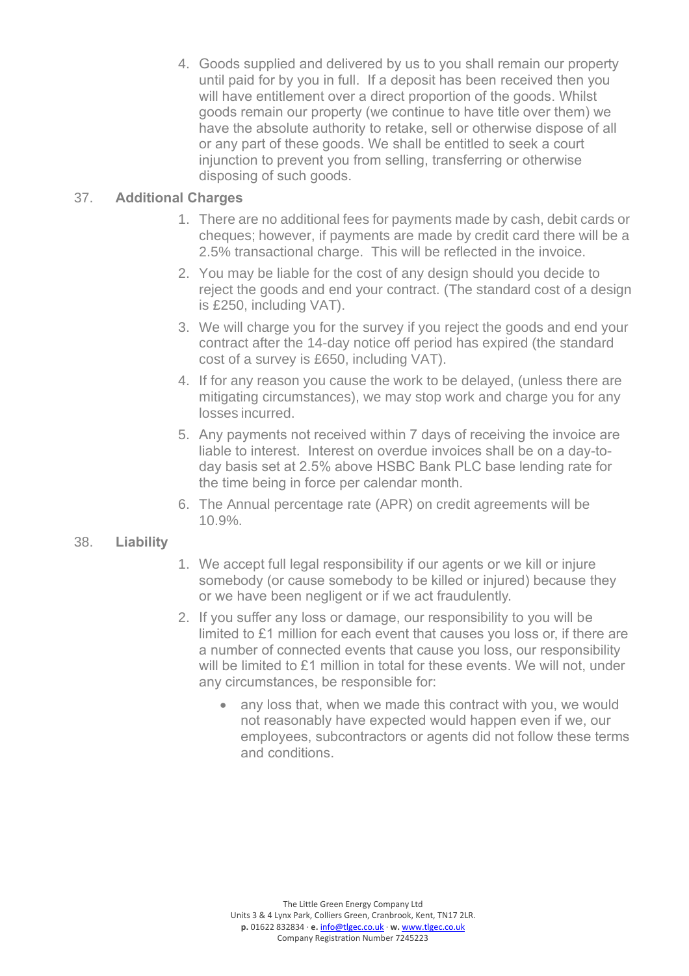4. Goods supplied and delivered by us to you shall remain our property until paid for by you in full. If a deposit has been received then you will have entitlement over a direct proportion of the goods. Whilst goods remain our property (we continue to have title over them) we have the absolute authority to retake, sell or otherwise dispose of all or any part of these goods. We shall be entitled to seek a court injunction to prevent you from selling, transferring or otherwise disposing of such goods.

#### 37. **Additional Charges**

- 1. There are no additional fees for payments made by cash, debit cards or cheques; however, if payments are made by credit card there will be a 2.5% transactional charge. This will be reflected in the invoice.
- 2. You may be liable for the cost of any design should you decide to reject the goods and end your contract. (The standard cost of a design is £250, including VAT).
- 3. We will charge you for the survey if you reject the goods and end your contract after the 14-day notice off period has expired (the standard cost of a survey is £650, including VAT).
- 4. If for any reason you cause the work to be delayed, (unless there are mitigating circumstances), we may stop work and charge you for any losses incurred.
- 5. Any payments not received within 7 days of receiving the invoice are liable to interest. Interest on overdue invoices shall be on a day-today basis set at 2.5% above HSBC Bank PLC base lending rate for the time being in force per calendar month.
- 6. The Annual percentage rate (APR) on credit agreements will be 10.9%.

#### 38. **Liability**

- 1. We accept full legal responsibility if our agents or we kill or injure somebody (or cause somebody to be killed or injured) because they or we have been negligent or if we act fraudulently.
- 2. If you suffer any loss or damage, our responsibility to you will be limited to £1 million for each event that causes you loss or, if there are a number of connected events that cause you loss, our responsibility will be limited to £1 million in total for these events. We will not, under any circumstances, be responsible for:
	- any loss that, when we made this contract with you, we would not reasonably have expected would happen even if we, our employees, subcontractors or agents did not follow these terms and conditions.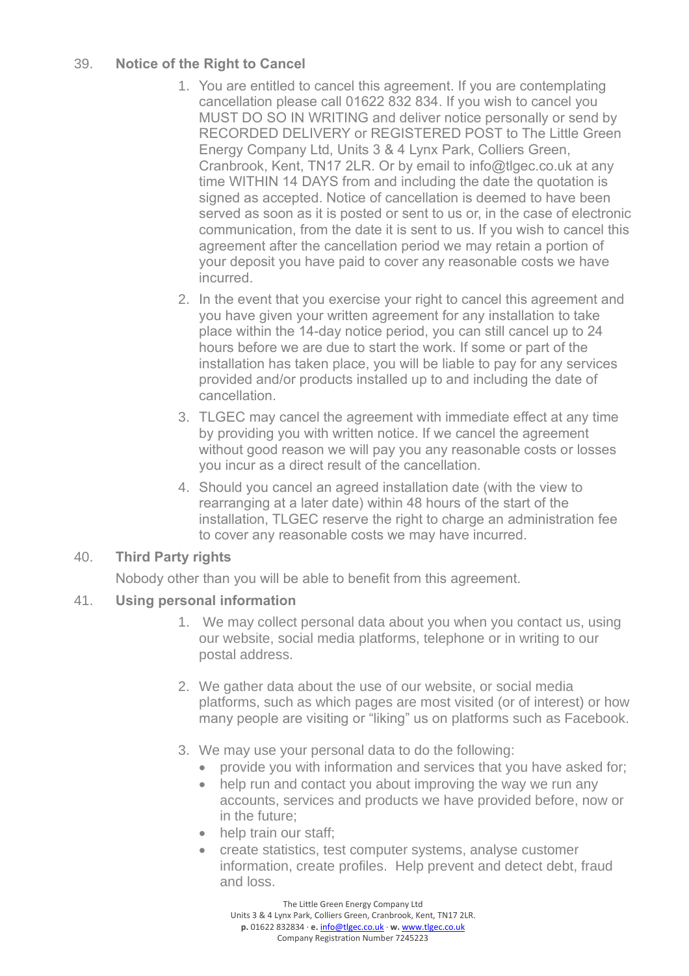### 39. **Notice of the Right to Cancel**

- 1. You are entitled to cancel this agreement. If you are contemplating cancellation please call 01622 832 834. If you wish to cancel you MUST DO SO IN WRITING and deliver notice personally or send by RECORDED DELIVERY or REGISTERED POST to The Little Green Energy Company Ltd, Units 3 & 4 Lynx Park, Colliers Green, Cranbrook, Kent, TN17 2LR. Or by email to info@tlgec.co.uk at any time WITHIN 14 DAYS from and including the date the quotation is signed as accepted. Notice of cancellation is deemed to have been served as soon as it is posted or sent to us or, in the case of electronic communication, from the date it is sent to us. If you wish to cancel this agreement after the cancellation period we may retain a portion of your deposit you have paid to cover any reasonable costs we have incurred.
- 2. In the event that you exercise your right to cancel this agreement and you have given your written agreement for any installation to take place within the 14-day notice period, you can still cancel up to 24 hours before we are due to start the work. If some or part of the installation has taken place, you will be liable to pay for any services provided and/or products installed up to and including the date of cancellation.
- 3. TLGEC may cancel the agreement with immediate effect at any time by providing you with written notice. If we cancel the agreement without good reason we will pay you any reasonable costs or losses you incur as a direct result of the cancellation.
- 4. Should you cancel an agreed installation date (with the view to rearranging at a later date) within 48 hours of the start of the installation, TLGEC reserve the right to charge an administration fee to cover any reasonable costs we may have incurred.

#### 40. **Third Party rights**

Nobody other than you will be able to benefit from this agreement.

### 41. **Using personal information**

- 1. We may collect personal data about you when you contact us, using our website, social media platforms, telephone or in writing to our postal address.
- 2. We gather data about the use of our website, or social media platforms, such as which pages are most visited (or of interest) or how many people are visiting or "liking" us on platforms such as Facebook.
- 3. We may use your personal data to do the following:
	- provide you with information and services that you have asked for;
	- help run and contact you about improving the way we run any accounts, services and products we have provided before, now or in the future;
	- help train our staff:
	- create statistics, test computer systems, analyse customer information, create profiles. Help prevent and detect debt, fraud and loss.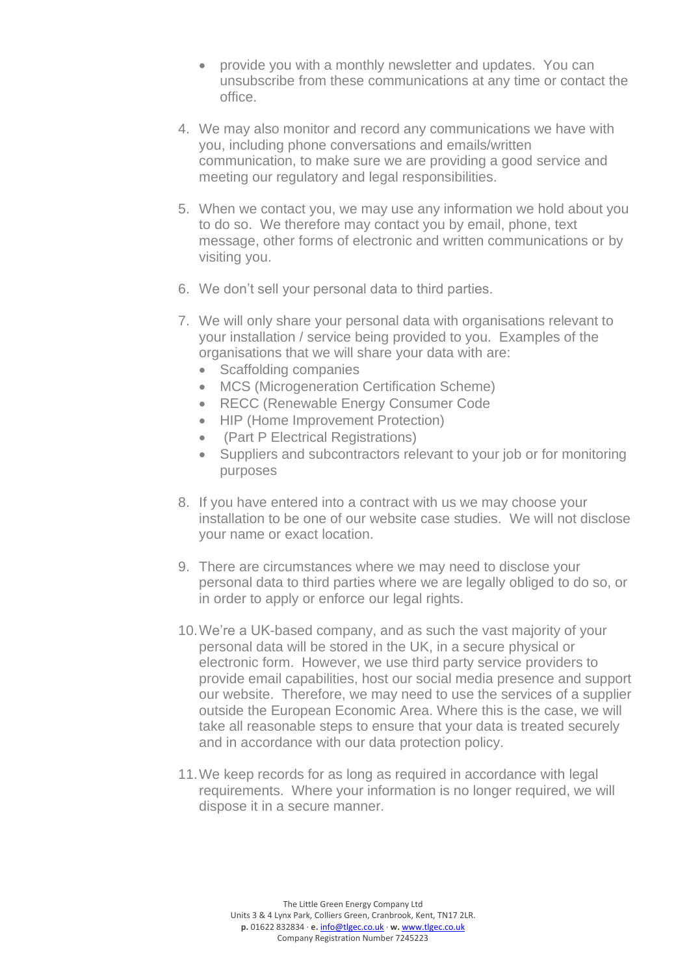- provide you with a monthly newsletter and updates. You can unsubscribe from these communications at any time or contact the office.
- 4. We may also monitor and record any communications we have with you, including phone conversations and emails/written communication, to make sure we are providing a good service and meeting our regulatory and legal responsibilities.
- 5. When we contact you, we may use any information we hold about you to do so. We therefore may contact you by email, phone, text message, other forms of electronic and written communications or by visiting you.
- 6. We don't sell your personal data to third parties.
- 7. We will only share your personal data with organisations relevant to your installation / service being provided to you. Examples of the organisations that we will share your data with are:
	- Scaffolding companies
	- MCS (Microgeneration Certification Scheme)
	- RECC (Renewable Energy Consumer Code
	- HIP (Home Improvement Protection)
	- (Part P Electrical Registrations)
	- Suppliers and subcontractors relevant to your job or for monitoring purposes
- 8. If you have entered into a contract with us we may choose your installation to be one of our website case studies. We will not disclose your name or exact location.
- 9. There are circumstances where we may need to disclose your personal data to third parties where we are legally obliged to do so, or in order to apply or enforce our legal rights.
- 10.We're a UK-based company, and as such the vast majority of your personal data will be stored in the UK, in a secure physical or electronic form. However, we use third party service providers to provide email capabilities, host our social media presence and support our website. Therefore, we may need to use the services of a supplier outside the European Economic Area. Where this is the case, we will take all reasonable steps to ensure that your data is treated securely and in accordance with our data protection policy.
- 11.We keep records for as long as required in accordance with legal requirements. Where your information is no longer required, we will dispose it in a secure manner.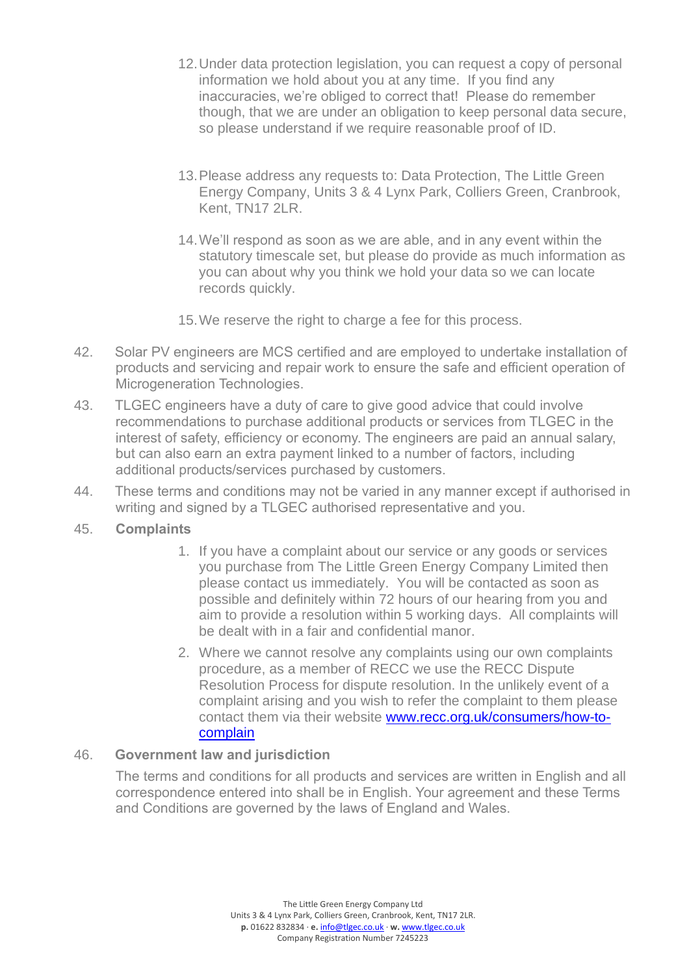- 12.Under data protection legislation, you can request a copy of personal information we hold about you at any time. If you find any inaccuracies, we're obliged to correct that! Please do remember though, that we are under an obligation to keep personal data secure, so please understand if we require reasonable proof of ID.
- 13.Please address any requests to: Data Protection, The Little Green Energy Company, Units 3 & 4 Lynx Park, Colliers Green, Cranbrook, Kent, TN17 2LR.
- 14.We'll respond as soon as we are able, and in any event within the statutory timescale set, but please do provide as much information as you can about why you think we hold your data so we can locate records quickly.
- 15.We reserve the right to charge a fee for this process.
- 42. Solar PV engineers are MCS certified and are employed to undertake installation of products and servicing and repair work to ensure the safe and efficient operation of Microgeneration Technologies.
- 43. TLGEC engineers have a duty of care to give good advice that could involve recommendations to purchase additional products or services from TLGEC in the interest of safety, efficiency or economy. The engineers are paid an annual salary, but can also earn an extra payment linked to a number of factors, including additional products/services purchased by customers.
- 44. These terms and conditions may not be varied in any manner except if authorised in writing and signed by a TLGEC authorised representative and you.

#### 45. **Complaints**

- 1. If you have a complaint about our service or any goods or services you purchase from The Little Green Energy Company Limited then please contact us immediately. You will be contacted as soon as possible and definitely within 72 hours of our hearing from you and aim to provide a resolution within 5 working days. All complaints will be dealt with in a fair and confidential manor.
- 2. Where we cannot resolve any complaints using our own complaints procedure, as a member of RECC we use the RECC Dispute Resolution Process for dispute resolution. In the unlikely event of a complaint arising and you wish to refer the complaint to them please contact them via their website [www.recc.org.uk/consumers/how-to](http://www.recc.org.uk/consumers/how-to-complain)[complain](http://www.recc.org.uk/consumers/how-to-complain)

#### 46. **Government law and jurisdiction**

The terms and conditions for all products and services are written in English and all correspondence entered into shall be in English. Your agreement and these Terms and Conditions are governed by the laws of England and Wales.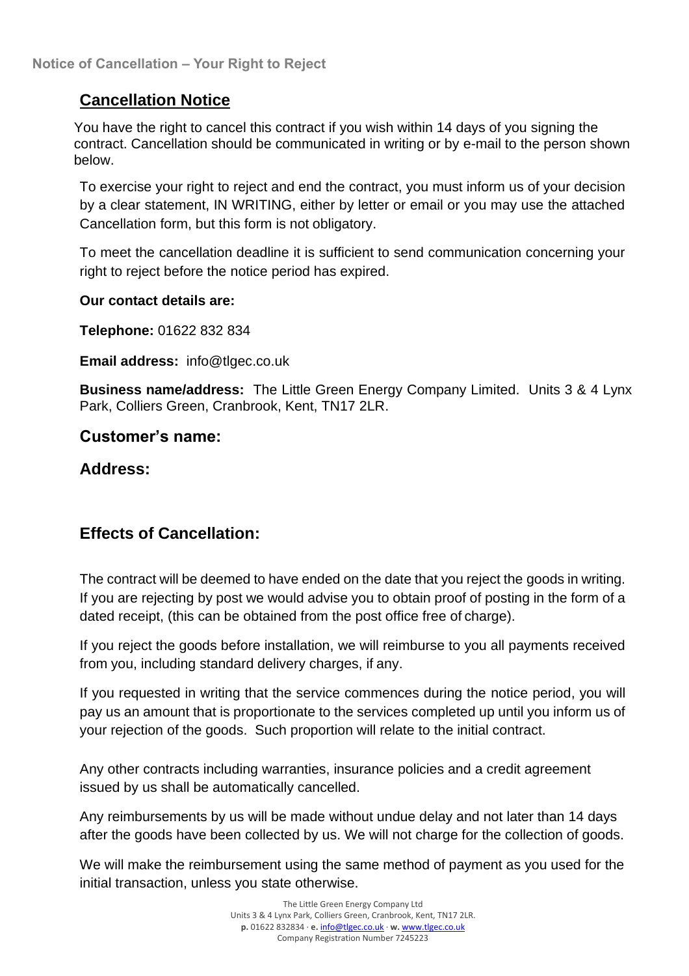# **Cancellation Notice**

You have the right to cancel this contract if you wish within 14 days of you signing the contract. Cancellation should be communicated in writing or by e-mail to the person shown below.

To exercise your right to reject and end the contract, you must inform us of your decision by a clear statement, IN WRITING, either by letter or email or you may use the attached Cancellation form, but this form is not obligatory.

To meet the cancellation deadline it is sufficient to send communication concerning your right to reject before the notice period has expired.

#### **Our contact details are:**

**Telephone:** 01622 832 834

**Email address:** info@tlgec.co.uk

**Business name/address:** The Little Green Energy Company Limited. Units 3 & 4 Lynx Park, Colliers Green, Cranbrook, Kent, TN17 2LR.

## **Customer's name:**

### **Address:**

# **Effects of Cancellation:**

The contract will be deemed to have ended on the date that you reject the goods in writing. If you are rejecting by post we would advise you to obtain proof of posting in the form of a dated receipt, (this can be obtained from the post office free of charge).

If you reject the goods before installation, we will reimburse to you all payments received from you, including standard delivery charges, if any.

If you requested in writing that the service commences during the notice period, you will pay us an amount that is proportionate to the services completed up until you inform us of your rejection of the goods. Such proportion will relate to the initial contract.

Any other contracts including warranties, insurance policies and a credit agreement issued by us shall be automatically cancelled.

Any reimbursements by us will be made without undue delay and not later than 14 days after the goods have been collected by us. We will not charge for the collection of goods.

We will make the reimbursement using the same method of payment as you used for the initial transaction, unless you state otherwise.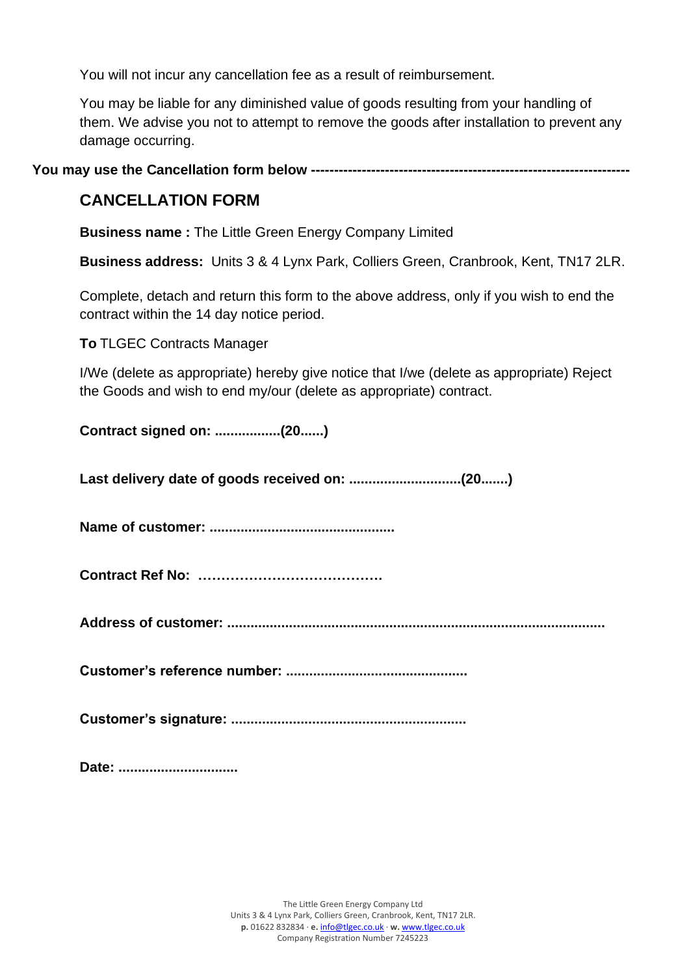You will not incur any cancellation fee as a result of reimbursement.

You may be liable for any diminished value of goods resulting from your handling of them. We advise you not to attempt to remove the goods after installation to prevent any damage occurring.

**You may use the Cancellation form below ---------------------------------------------------------------------**

# **CANCELLATION FORM**

**Business name :** The Little Green Energy Company Limited

**Business address:** Units 3 & 4 Lynx Park, Colliers Green, Cranbrook, Kent, TN17 2LR.

Complete, detach and return this form to the above address, only if you wish to end the contract within the 14 day notice period.

**To** TLGEC Contracts Manager

I/We (delete as appropriate) hereby give notice that I/we (delete as appropriate) Reject the Goods and wish to end my/our (delete as appropriate) contract.

**Contract signed on: .................(20......)**

**Last delivery date of goods received on: .............................(20.......)**

**Name of customer: ................................................**

**Contract Ref No: ………………………………….**

**Address of customer: ..................................................................................................**

**Customer's reference number: ...............................................**

**Customer's signature: .............................................................**

**Date: ...............................**